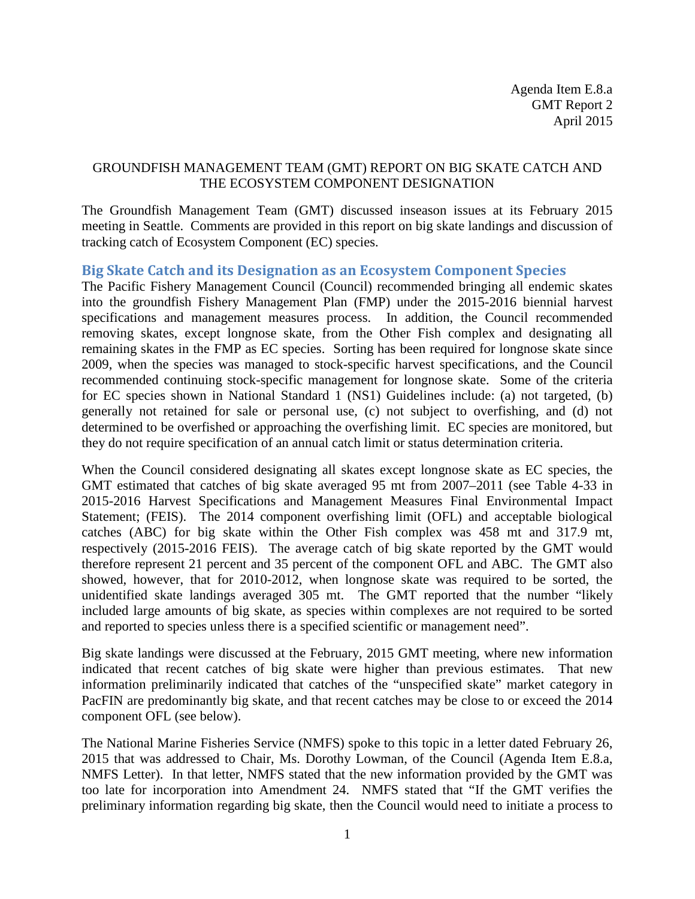Agenda Item E.8.a GMT Report 2 April 2015

## GROUNDFISH MANAGEMENT TEAM (GMT) REPORT ON BIG SKATE CATCH AND THE ECOSYSTEM COMPONENT DESIGNATION

The Groundfish Management Team (GMT) discussed inseason issues at its February 2015 meeting in Seattle. Comments are provided in this report on big skate landings and discussion of tracking catch of Ecosystem Component (EC) species.

### **Big Skate Catch and its Designation as an Ecosystem Component Species**

The Pacific Fishery Management Council (Council) recommended bringing all endemic skates into the groundfish Fishery Management Plan (FMP) under the 2015-2016 biennial harvest specifications and management measures process. In addition, the Council recommended removing skates, except longnose skate, from the Other Fish complex and designating all remaining skates in the FMP as EC species. Sorting has been required for longnose skate since 2009, when the species was managed to stock-specific harvest specifications, and the Council recommended continuing stock-specific management for longnose skate. Some of the criteria for EC species shown in National Standard 1 (NS1) Guidelines include: (a) not targeted, (b) generally not retained for sale or personal use, (c) not subject to overfishing, and (d) not determined to be overfished or approaching the overfishing limit. EC species are monitored, but they do not require specification of an annual catch limit or status determination criteria.

When the Council considered designating all skates except longnose skate as EC species, the GMT estimated that catches of big skate averaged 95 mt from 2007–2011 (see Table 4-33 in 2015-2016 Harvest Specifications and Management Measures Final Environmental Impact Statement; (FEIS). The 2014 component overfishing limit (OFL) and acceptable biological catches (ABC) for big skate within the Other Fish complex was 458 mt and 317.9 mt, respectively (2015-2016 FEIS). The average catch of big skate reported by the GMT would therefore represent 21 percent and 35 percent of the component OFL and ABC. The GMT also showed, however, that for 2010-2012, when longnose skate was required to be sorted, the unidentified skate landings averaged 305 mt. The GMT reported that the number "likely included large amounts of big skate, as species within complexes are not required to be sorted and reported to species unless there is a specified scientific or management need".

Big skate landings were discussed at the February, 2015 GMT meeting, where new information indicated that recent catches of big skate were higher than previous estimates. That new information preliminarily indicated that catches of the "unspecified skate" market category in PacFIN are predominantly big skate, and that recent catches may be close to or exceed the 2014 component OFL (see below).

The National Marine Fisheries Service (NMFS) spoke to this topic in a letter dated February 26, 2015 that was addressed to Chair, Ms. Dorothy Lowman, of the Council [\(Agenda Item E.8.a,](http://www.pcouncil.org/wp-content/uploads/2015/03/IR9_Sup_GF_A24_ApprovalLtr_MAR2015BB.pdf)  [NMFS Letter\).](http://www.pcouncil.org/wp-content/uploads/2015/03/IR9_Sup_GF_A24_ApprovalLtr_MAR2015BB.pdf) In that letter, NMFS stated that the new information provided by the GMT was too late for incorporation into Amendment 24. NMFS stated that "If the GMT verifies the preliminary information regarding big skate, then the Council would need to initiate a process to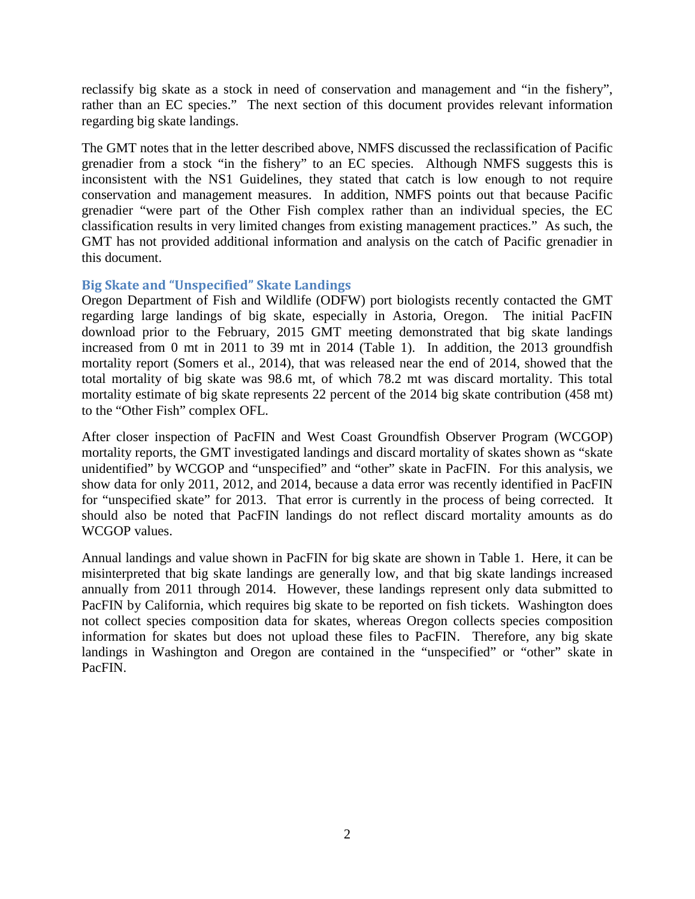reclassify big skate as a stock in need of conservation and management and "in the fishery", rather than an EC species." The next section of this document provides relevant information regarding big skate landings.

The GMT notes that in the letter described above, NMFS discussed the reclassification of Pacific grenadier from a stock "in the fishery" to an EC species. Although NMFS suggests this is inconsistent with the NS1 Guidelines, they stated that catch is low enough to not require conservation and management measures. In addition, NMFS points out that because Pacific grenadier "were part of the Other Fish complex rather than an individual species, the EC classification results in very limited changes from existing management practices." As such, the GMT has not provided additional information and analysis on the catch of Pacific grenadier in this document.

### **Big Skate and "Unspecified" Skate Landings**

Oregon Department of Fish and Wildlife (ODFW) port biologists recently contacted the GMT regarding large landings of big skate, especially in Astoria, Oregon. The initial PacFIN download prior to the February, 2015 GMT meeting demonstrated that big skate landings increased from 0 mt in 2011 to 39 mt in 2014 [\(Table 1\)](#page-2-0). In addition, the 2013 groundfish mortality report (Somers et al., 2014), that was released near the end of 2014, showed that the total mortality of big skate was 98.6 mt, of which 78.2 mt was discard mortality. This total mortality estimate of big skate represents 22 percent of the 2014 big skate contribution (458 mt) to the "Other Fish" complex OFL.

After closer inspection of PacFIN and West Coast Groundfish Observer Program (WCGOP) mortality reports, the GMT investigated landings and discard mortality of skates shown as "skate unidentified" by WCGOP and "unspecified" and "other" skate in PacFIN. For this analysis, we show data for only 2011, 2012, and 2014, because a data error was recently identified in PacFIN for "unspecified skate" for 2013. That error is currently in the process of being corrected. It should also be noted that PacFIN landings do not reflect discard mortality amounts as do WCGOP values.

Annual landings and value shown in PacFIN for big skate are shown in [Table 1.](#page-2-0) Here, it can be misinterpreted that big skate landings are generally low, and that big skate landings increased annually from 2011 through 2014. However, these landings represent only data submitted to PacFIN by California, which requires big skate to be reported on fish tickets. Washington does not collect species composition data for skates, whereas Oregon collects species composition information for skates but does not upload these files to PacFIN. Therefore, any big skate landings in Washington and Oregon are contained in the "unspecified" or "other" skate in PacFIN.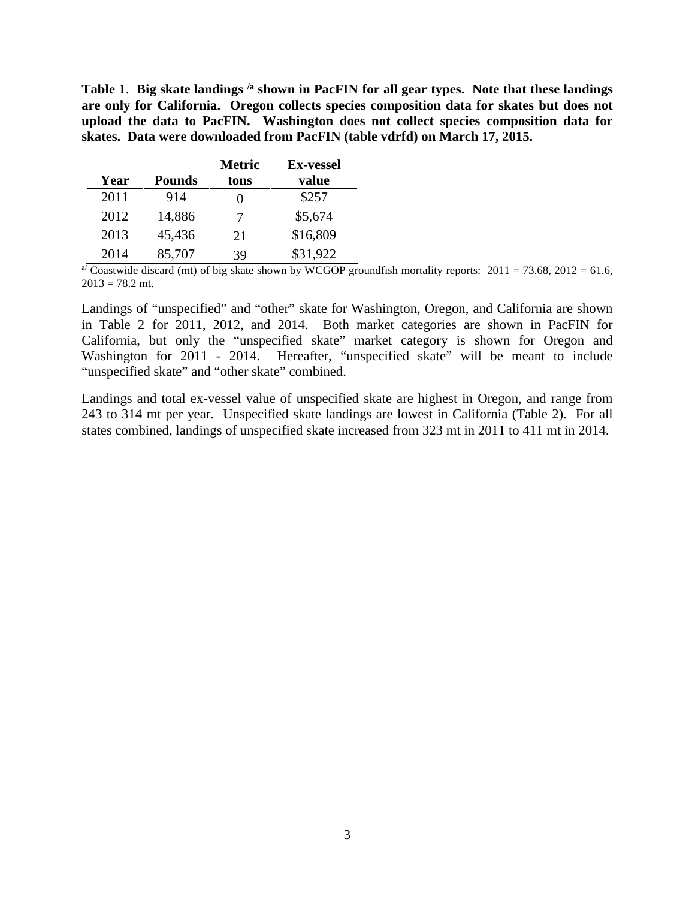<span id="page-2-0"></span>**Table 1**. **Big skate landings /a shown in PacFIN for all gear types. Note that these landings are only for California. Oregon collects species composition data for skates but does not upload the data to PacFIN. Washington does not collect species composition data for skates. Data were downloaded from PacFIN (table vdrfd) on March 17, 2015.**

|      |               | <b>Metric</b>     | <b>Ex-vessel</b> |
|------|---------------|-------------------|------------------|
| Year | <b>Pounds</b> | tons              | value            |
| 2011 | 914           | $\mathbf{\Omega}$ | \$257            |
| 2012 | 14,886        | 7                 | \$5,674          |
| 2013 | 45,436        | 21                | \$16,809         |
| 2014 | 85,707        | 39                | \$31,922         |

<sup>a</sup>/ Coastwide discard (mt) of big skate shown by WCGOP groundfish mortality reports:  $2011 = 73.68$ ,  $2012 = 61.6$ ,  $2013 = 78.2$  mt.

Landings of "unspecified" and "other" skate for Washington, Oregon, and California are shown in [Table 2](#page-3-0) for 2011, 2012, and 2014. Both market categories are shown in PacFIN for California, but only the "unspecified skate" market category is shown for Oregon and Washington for 2011 - 2014. Hereafter, "unspecified skate" will be meant to include "unspecified skate" and "other skate" combined.

Landings and total ex-vessel value of unspecified skate are highest in Oregon, and range from 243 to 314 mt per year. Unspecified skate landings are lowest in California [\(Table 2\)](#page-3-0). For all states combined, landings of unspecified skate increased from 323 mt in 2011 to 411 mt in 2014.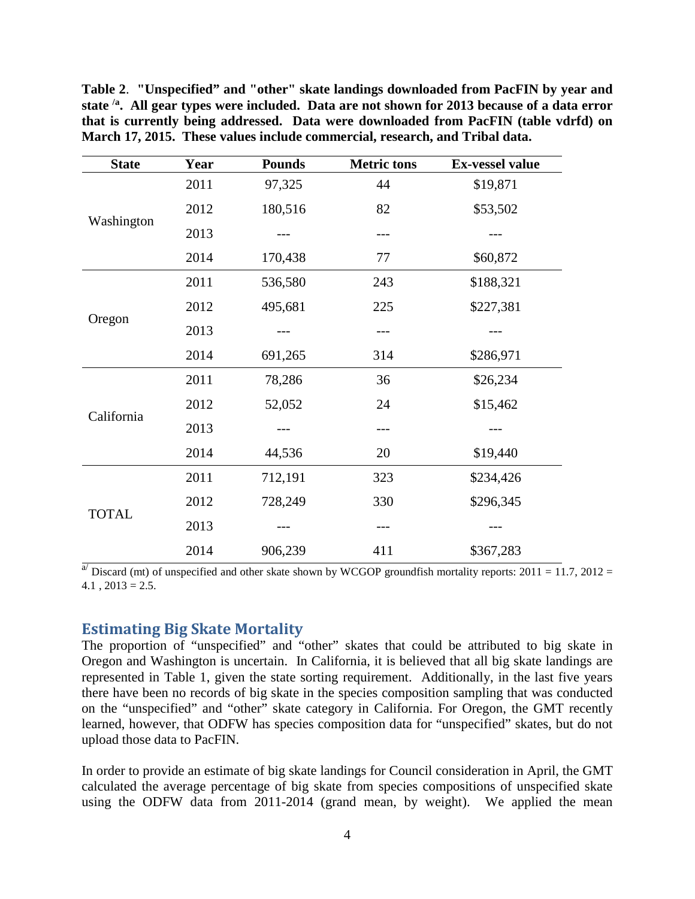<span id="page-3-0"></span>**Table 2**. **"Unspecified" and "other" skate landings downloaded from PacFIN by year and state /a. All gear types were included. Data are not shown for 2013 because of a data error that is currently being addressed. Data were downloaded from PacFIN (table vdrfd) on March 17, 2015. These values include commercial, research, and Tribal data.**

| <b>State</b> | Year | <b>Pounds</b> | <b>Metric tons</b> | <b>Ex-vessel value</b> |
|--------------|------|---------------|--------------------|------------------------|
| Washington   | 2011 | 97,325        | 44                 | \$19,871               |
|              | 2012 | 180,516       | 82                 | \$53,502               |
|              | 2013 |               | ---                |                        |
|              | 2014 | 170,438       | 77                 | \$60,872               |
| Oregon       | 2011 | 536,580       | 243                | \$188,321              |
|              | 2012 | 495,681       | 225                | \$227,381              |
|              | 2013 |               |                    |                        |
|              | 2014 | 691,265       | 314                | \$286,971              |
| California   | 2011 | 78,286        | 36                 | \$26,234               |
|              | 2012 | 52,052        | 24                 | \$15,462               |
|              | 2013 |               |                    |                        |
|              | 2014 | 44,536        | 20                 | \$19,440               |
| <b>TOTAL</b> | 2011 | 712,191       | 323                | \$234,426              |
|              | 2012 | 728,249       | 330                | \$296,345              |
|              | 2013 |               | ---                |                        |
|              | 2014 | 906,239       | 411                | \$367,283              |

 $\overline{a}$  Discard (mt) of unspecified and other skate shown by WCGOP groundfish mortality reports: 2011 = 11.7, 2012 =  $4.1$ ,  $2013 = 2.5$ .

#### **Estimating Big Skate Mortality**

The proportion of "unspecified" and "other" skates that could be attributed to big skate in Oregon and Washington is uncertain. In California, it is believed that all big skate landings are represented in [Table 1,](#page-2-0) given the state sorting requirement. Additionally, in the last five years there have been no records of big skate in the species composition sampling that was conducted on the "unspecified" and "other" skate category in California. For Oregon, the GMT recently learned, however, that ODFW has species composition data for "unspecified" skates, but do not upload those data to PacFIN.

In order to provide an estimate of big skate landings for Council consideration in April, the GMT calculated the average percentage of big skate from species compositions of unspecified skate using the ODFW data from 2011-2014 (grand mean, by weight). We applied the mean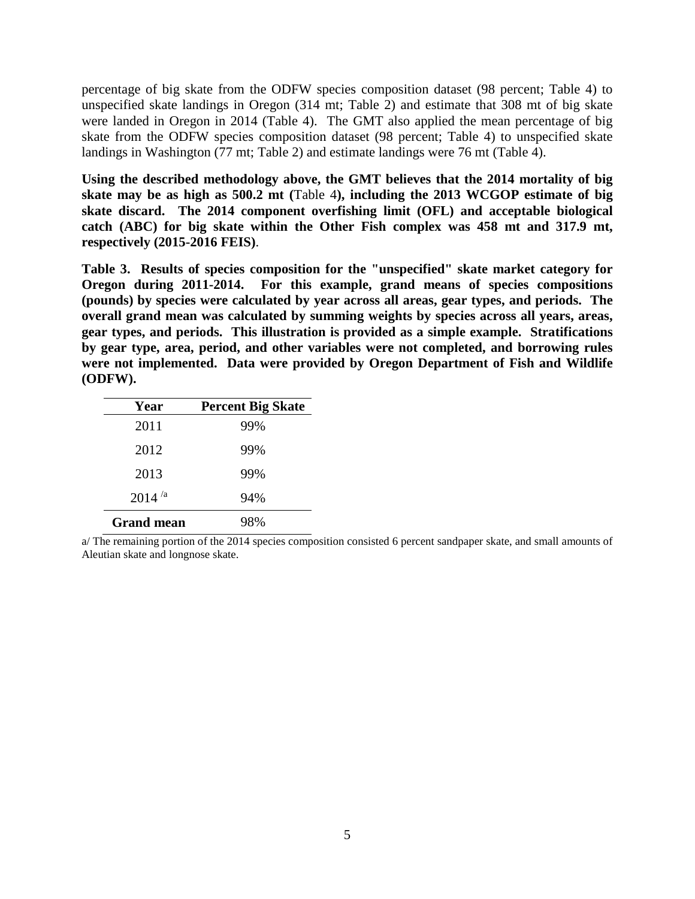percentage of big skate from the ODFW species composition dataset (98 percent; [Table 4\)](#page-5-0) to unspecified skate landings in Oregon (314 mt; Table 2) and estimate that 308 mt of big skate were landed in Oregon in 2014 [\(Table 4\)](#page-5-0). The GMT also applied the mean percentage of big skate from the ODFW species composition dataset (98 percent; [Table 4\)](#page-5-0) to unspecified skate landings in Washington (77 mt; Table 2) and estimate landings were 76 mt [\(Table 4\)](#page-5-0).

**Using the described methodology above, the GMT believes that the 2014 mortality of big skate may be as high as 500.2 mt (**[Table 4](#page-5-0)**), including the 2013 WCGOP estimate of big skate discard. The 2014 component overfishing limit (OFL) and acceptable biological catch (ABC) for big skate within the Other Fish complex was 458 mt and 317.9 mt, respectively (2015-2016 FEIS)**.

**Table 3. Results of species composition for the "unspecified" skate market category for Oregon during 2011-2014. For this example, grand means of species compositions (pounds) by species were calculated by year across all areas, gear types, and periods. The overall grand mean was calculated by summing weights by species across all years, areas, gear types, and periods. This illustration is provided as a simple example. Stratifications by gear type, area, period, and other variables were not completed, and borrowing rules were not implemented. Data were provided by Oregon Department of Fish and Wildlife (ODFW).**

| Year              | <b>Percent Big Skate</b> |
|-------------------|--------------------------|
| 2011              | 99%                      |
| 2012              | 99%                      |
| 2013              | 99%                      |
| $2014^{a}$        | 94%                      |
| <b>Grand mean</b> | 98%                      |

a/ The remaining portion of the 2014 species composition consisted 6 percent sandpaper skate, and small amounts of Aleutian skate and longnose skate.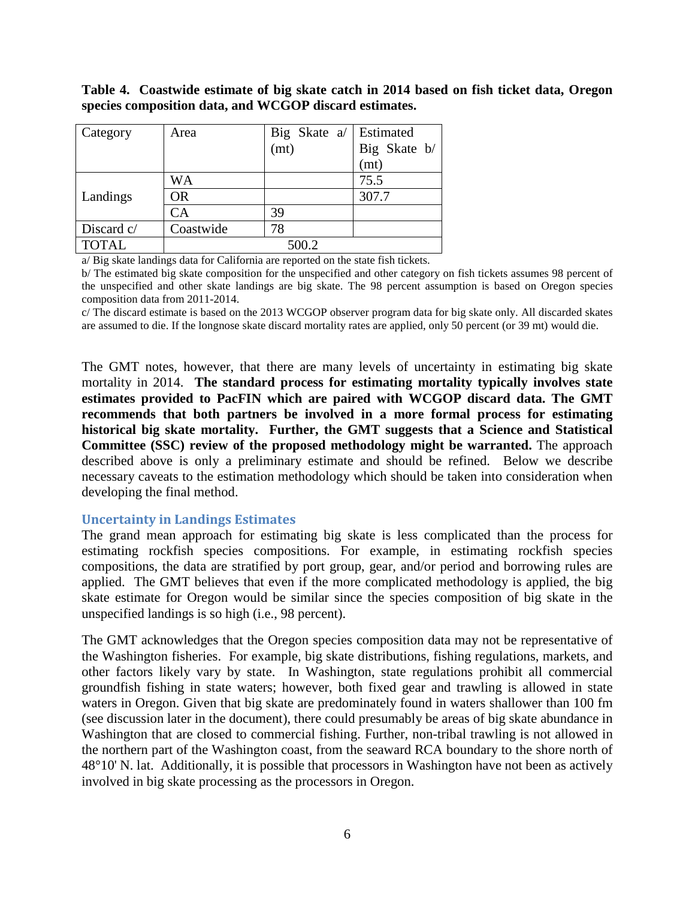#### <span id="page-5-0"></span>**Table 4. Coastwide estimate of big skate catch in 2014 based on fish ticket data, Oregon species composition data, and WCGOP discard estimates.**

| Category     | Area      |                                          |              |
|--------------|-----------|------------------------------------------|--------------|
|              |           | Big Skate a/ Estimated<br>(mt) Big Skate | Big Skate b/ |
|              |           |                                          | (mt)         |
|              | WA        |                                          | 75.5         |
| Landings     | <b>OR</b> |                                          | 307.7        |
|              | CA        | 39                                       |              |
| Discard c/   | Coastwide | 78                                       |              |
| <b>TOTAL</b> |           | 500.2                                    |              |

a/ Big skate landings data for California are reported on the state fish tickets.

b/ The estimated big skate composition for the unspecified and other category on fish tickets assumes 98 percent of the unspecified and other skate landings are big skate. The 98 percent assumption is based on Oregon species composition data from 2011-2014.

c/ The discard estimate is based on the 2013 WCGOP observer program data for big skate only. All discarded skates are assumed to die. If the longnose skate discard mortality rates are applied, only 50 percent (or 39 mt) would die.

The GMT notes, however, that there are many levels of uncertainty in estimating big skate mortality in 2014. **The standard process for estimating mortality typically involves state estimates provided to PacFIN which are paired with WCGOP discard data. The GMT recommends that both partners be involved in a more formal process for estimating historical big skate mortality. Further, the GMT suggests that a Science and Statistical Committee (SSC) review of the proposed methodology might be warranted.** The approach described above is only a preliminary estimate and should be refined. Below we describe necessary caveats to the estimation methodology which should be taken into consideration when developing the final method.

#### **Uncertainty in Landings Estimates**

The grand mean approach for estimating big skate is less complicated than the process for estimating rockfish species compositions. For example, in estimating rockfish species compositions, the data are stratified by port group, gear, and/or period and borrowing rules are applied. The GMT believes that even if the more complicated methodology is applied, the big skate estimate for Oregon would be similar since the species composition of big skate in the unspecified landings is so high (i.e., 98 percent).

The GMT acknowledges that the Oregon species composition data may not be representative of the Washington fisheries. For example, big skate distributions, fishing regulations, markets, and other factors likely vary by state. In Washington, state regulations prohibit all commercial groundfish fishing in state waters; however, both fixed gear and trawling is allowed in state waters in Oregon. Given that big skate are predominately found in waters shallower than 100 fm (see discussion later in the document), there could presumably be areas of big skate abundance in Washington that are closed to commercial fishing. Further, non-tribal trawling is not allowed in the northern part of the Washington coast, from the seaward RCA boundary to the shore north of 48°10' N. lat. Additionally, it is possible that processors in Washington have not been as actively involved in big skate processing as the processors in Oregon.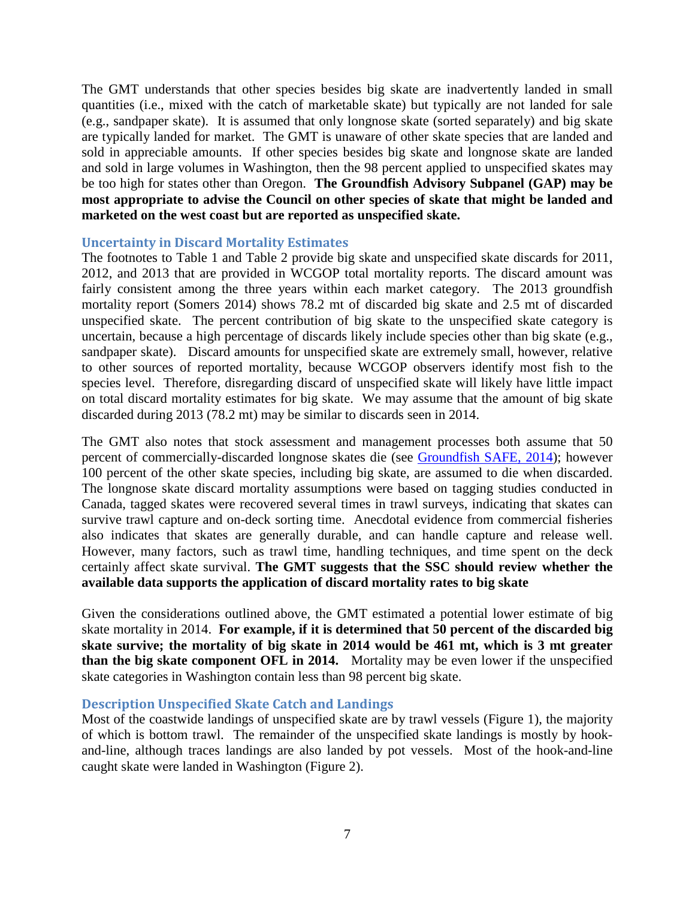The GMT understands that other species besides big skate are inadvertently landed in small quantities (i.e., mixed with the catch of marketable skate) but typically are not landed for sale (e.g., sandpaper skate). It is assumed that only longnose skate (sorted separately) and big skate are typically landed for market. The GMT is unaware of other skate species that are landed and sold in appreciable amounts. If other species besides big skate and longnose skate are landed and sold in large volumes in Washington, then the 98 percent applied to unspecified skates may be too high for states other than Oregon. **The Groundfish Advisory Subpanel (GAP) may be most appropriate to advise the Council on other species of skate that might be landed and marketed on the west coast but are reported as unspecified skate.**

#### **Uncertainty in Discard Mortality Estimates**

The footnotes to [Table 1](#page-2-0) and [Table 2](#page-3-0) provide big skate and unspecified skate discards for 2011, 2012, and 2013 that are provided in WCGOP total mortality reports. The discard amount was fairly consistent among the three years within each market category. The 2013 groundfish mortality report (Somers 2014) shows 78.2 mt of discarded big skate and 2.5 mt of discarded unspecified skate. The percent contribution of big skate to the unspecified skate category is uncertain, because a high percentage of discards likely include species other than big skate (e.g., sandpaper skate). Discard amounts for unspecified skate are extremely small, however, relative to other sources of reported mortality, because WCGOP observers identify most fish to the species level. Therefore, disregarding discard of unspecified skate will likely have little impact on total discard mortality estimates for big skate. We may assume that the amount of big skate discarded during 2013 (78.2 mt) may be similar to discards seen in 2014.

The GMT also notes that stock assessment and management processes both assume that 50 percent of commercially-discarded longnose skates die (see [Groundfish SAFE, 2014\)](http://www.pcouncil.org/wp-content/uploads/2015/03/SAFE_Dec2014_v12.pdf); however 100 percent of the other skate species, including big skate, are assumed to die when discarded. The longnose skate discard mortality assumptions were based on tagging studies conducted in Canada, tagged skates were recovered several times in trawl surveys, indicating that skates can survive trawl capture and on-deck sorting time. Anecdotal evidence from commercial fisheries also indicates that skates are generally durable, and can handle capture and release well. However, many factors, such as trawl time, handling techniques, and time spent on the deck certainly affect skate survival. **The GMT suggests that the SSC should review whether the available data supports the application of discard mortality rates to big skate**

Given the considerations outlined above, the GMT estimated a potential lower estimate of big skate mortality in 2014. **For example, if it is determined that 50 percent of the discarded big skate survive; the mortality of big skate in 2014 would be 461 mt, which is 3 mt greater than the big skate component OFL in 2014.** Mortality may be even lower if the unspecified skate categories in Washington contain less than 98 percent big skate.

#### **Description Unspecified Skate Catch and Landings**

Most of the coastwide landings of unspecified skate are by trawl vessels [\(Figure 1\)](#page-7-0), the majority of which is bottom trawl. The remainder of the unspecified skate landings is mostly by hookand-line, although traces landings are also landed by pot vessels. Most of the hook-and-line caught skate were landed in Washington [\(Figure 2\)](#page-7-1).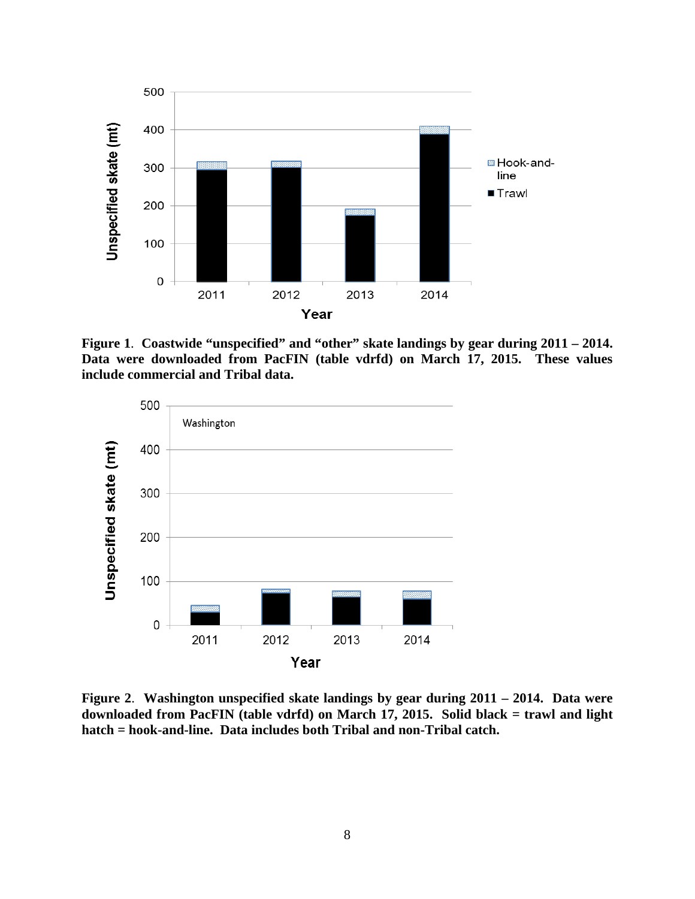

<span id="page-7-0"></span>**Figure 1**. **Coastwide "unspecified" and "other" skate landings by gear during 2011 – 2014. Data were downloaded from PacFIN (table vdrfd) on March 17, 2015. These values include commercial and Tribal data.**



<span id="page-7-1"></span>**Figure 2**. **Washington unspecified skate landings by gear during 2011 – 2014. Data were downloaded from PacFIN (table vdrfd) on March 17, 2015. Solid black = trawl and light hatch = hook-and-line. Data includes both Tribal and non-Tribal catch.**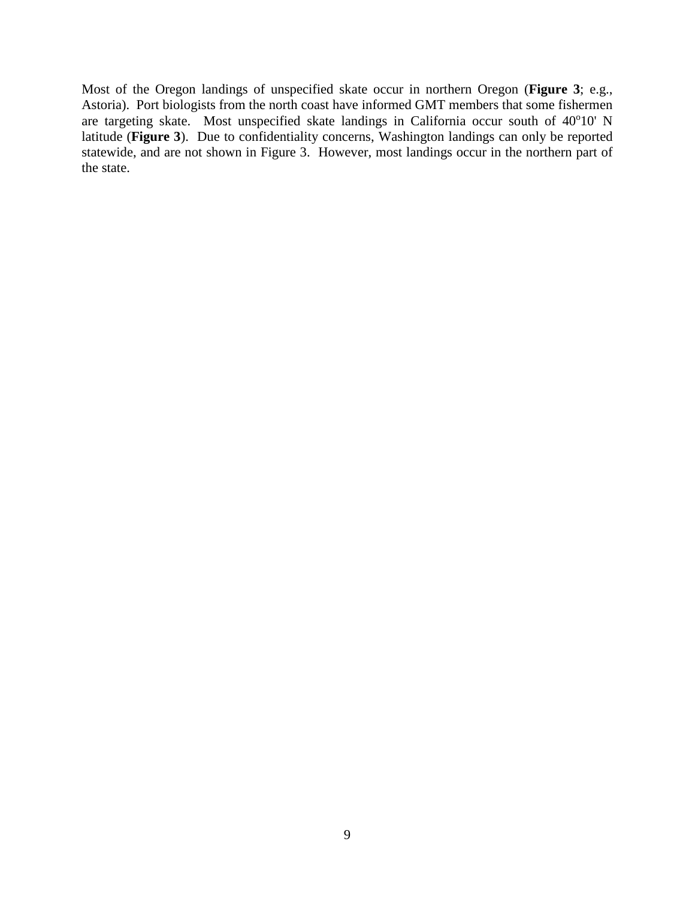Most of the Oregon landings of unspecified skate occur in northern Oregon (**[Figure 3](#page-9-0)**; e.g., Astoria). Port biologists from the north coast have informed GMT members that some fishermen are targeting skate. Most unspecified skate landings in California occur south of 40°10' N latitude (**[Figure 3](#page-9-0)**). Due to confidentiality concerns, Washington landings can only be reported statewide, and are not shown in [Figure 3.](#page-9-0) However, most landings occur in the northern part of the state.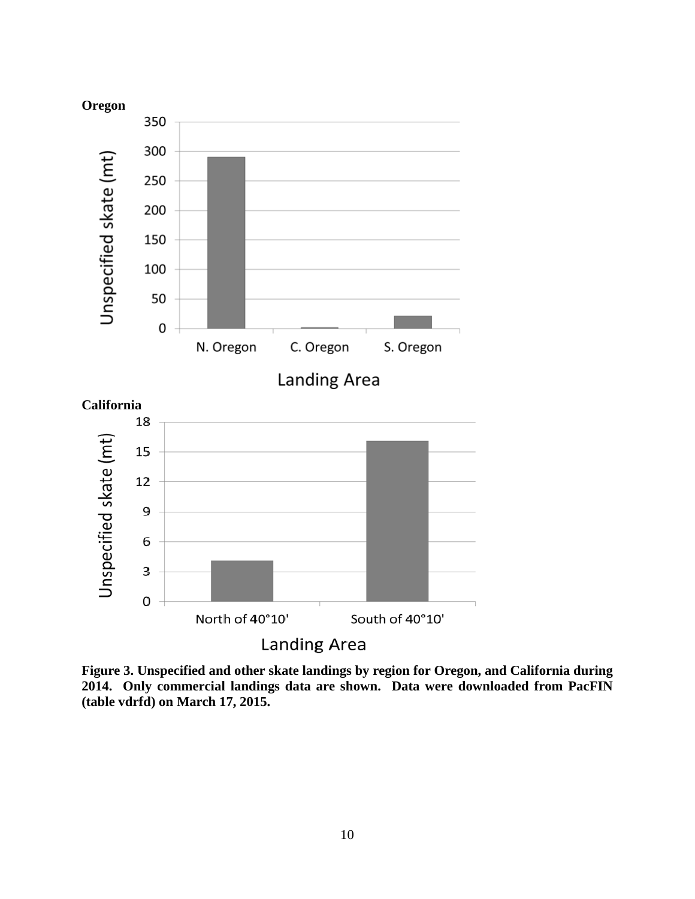

<span id="page-9-0"></span>**Figure 3. Unspecified and other skate landings by region for Oregon, and California during 2014. Only commercial landings data are shown. Data were downloaded from PacFIN (table vdrfd) on March 17, 2015.**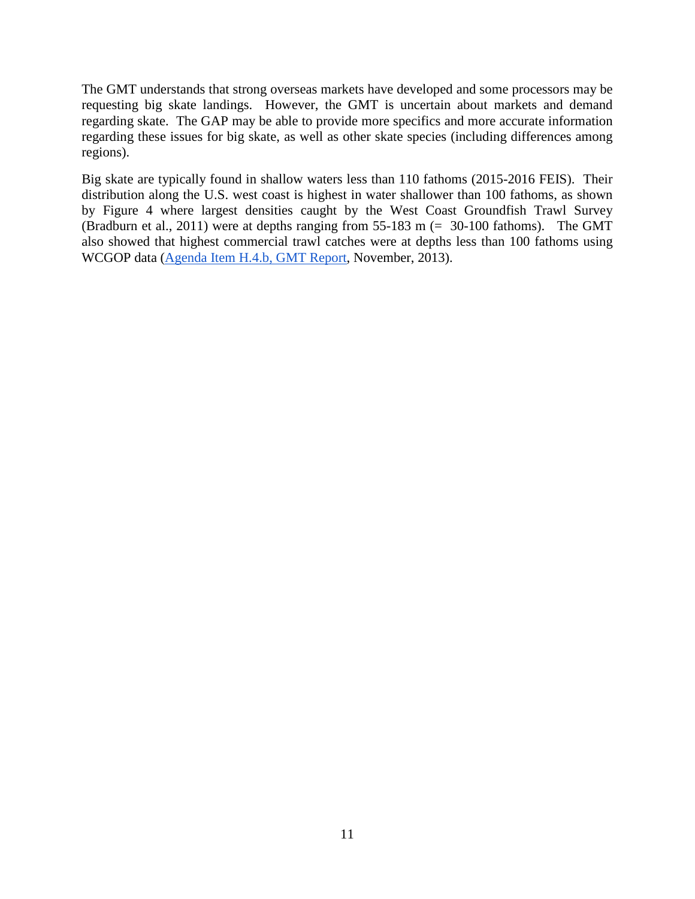The GMT understands that strong overseas markets have developed and some processors may be requesting big skate landings. However, the GMT is uncertain about markets and demand regarding skate. The GAP may be able to provide more specifics and more accurate information regarding these issues for big skate, as well as other skate species (including differences among regions).

Big skate are typically found in shallow waters less than 110 fathoms (2015-2016 FEIS). Their distribution along the U.S. west coast is highest in water shallower than 100 fathoms, as shown by Figure 4 where largest densities caught by the West Coast Groundfish Trawl Survey (Bradburn et al., 2011) were at depths ranging from 55-183 m  $(= 30{\text -}100 \text{ f}$  fathoms). The GMT also showed that highest commercial trawl catches were at depths less than 100 fathoms using WCGOP data [\(Agenda Item H.4.b, GMT Report,](http://www.pcouncil.org/wp-content/uploads/H4b_GMT_StockComplexes_NOV2013BB.pdf) November, 2013).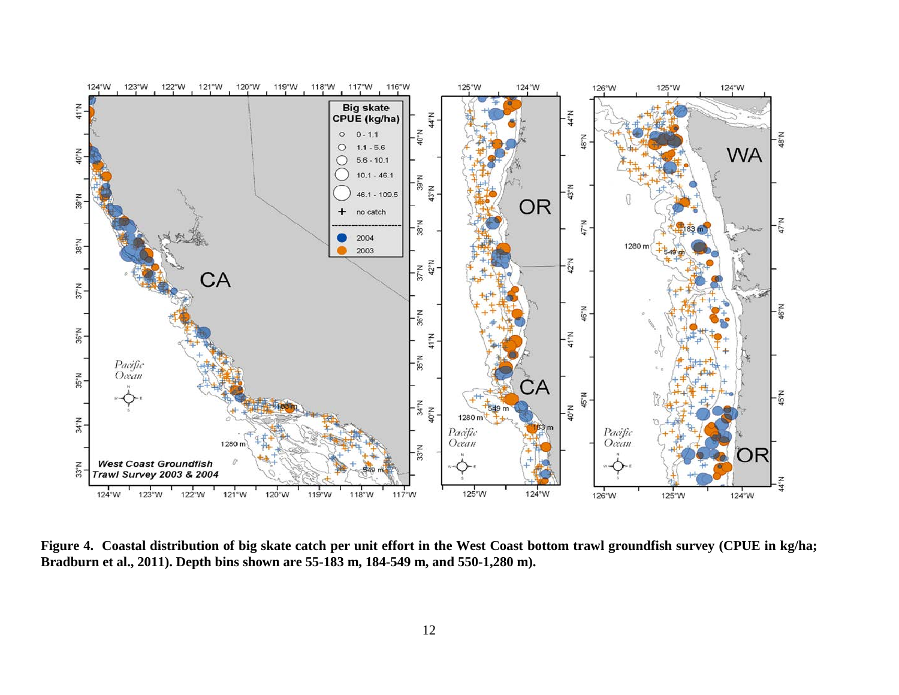

**Figure 4. Coastal distribution of big skate catch per unit effort in the West Coast bottom trawl groundfish survey (CPUE in kg/ha; Bradburn et al., 2011). Depth bins shown are 55-183 m, 184-549 m, and 550-1,280 m).**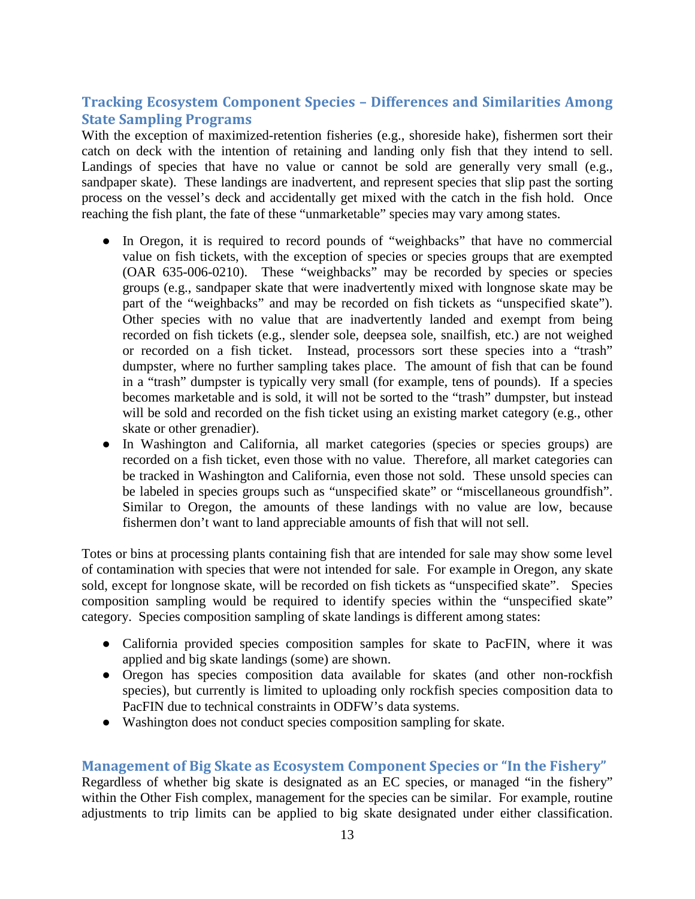# **Tracking Ecosystem Component Species – Differences and Similarities Among State Sampling Programs**

With the exception of maximized-retention fisheries (e.g., shoreside hake), fishermen sort their catch on deck with the intention of retaining and landing only fish that they intend to sell. Landings of species that have no value or cannot be sold are generally very small (e.g., sandpaper skate). These landings are inadvertent, and represent species that slip past the sorting process on the vessel's deck and accidentally get mixed with the catch in the fish hold. Once reaching the fish plant, the fate of these "unmarketable" species may vary among states.

- In Oregon, it is required to record pounds of "weighbacks" that have no commercial value on fish tickets, with the exception of species or species groups that are exempted (OAR 635-006-0210). These "weighbacks" may be recorded by species or species groups (e.g., sandpaper skate that were inadvertently mixed with longnose skate may be part of the "weighbacks" and may be recorded on fish tickets as "unspecified skate"). Other species with no value that are inadvertently landed and exempt from being recorded on fish tickets (e.g., slender sole, deepsea sole, snailfish, etc.) are not weighed or recorded on a fish ticket. Instead, processors sort these species into a "trash" dumpster, where no further sampling takes place. The amount of fish that can be found in a "trash" dumpster is typically very small (for example, tens of pounds). If a species becomes marketable and is sold, it will not be sorted to the "trash" dumpster, but instead will be sold and recorded on the fish ticket using an existing market category (e.g., other skate or other grenadier).
- In Washington and California, all market categories (species or species groups) are recorded on a fish ticket, even those with no value. Therefore, all market categories can be tracked in Washington and California, even those not sold. These unsold species can be labeled in species groups such as "unspecified skate" or "miscellaneous groundfish". Similar to Oregon, the amounts of these landings with no value are low, because fishermen don't want to land appreciable amounts of fish that will not sell.

Totes or bins at processing plants containing fish that are intended for sale may show some level of contamination with species that were not intended for sale. For example in Oregon, any skate sold, except for longnose skate, will be recorded on fish tickets as "unspecified skate". Species composition sampling would be required to identify species within the "unspecified skate" category. Species composition sampling of skate landings is different among states:

- California provided species composition samples for skate to PacFIN, where it was applied and big skate landings (some) are shown.
- Oregon has species composition data available for skates (and other non-rockfish species), but currently is limited to uploading only rockfish species composition data to PacFIN due to technical constraints in ODFW's data systems.
- Washington does not conduct species composition sampling for skate.

## **Management of Big Skate as Ecosystem Component Species or "In the Fishery"**

Regardless of whether big skate is designated as an EC species, or managed "in the fishery" within the Other Fish complex, management for the species can be similar. For example, routine adjustments to trip limits can be applied to big skate designated under either classification.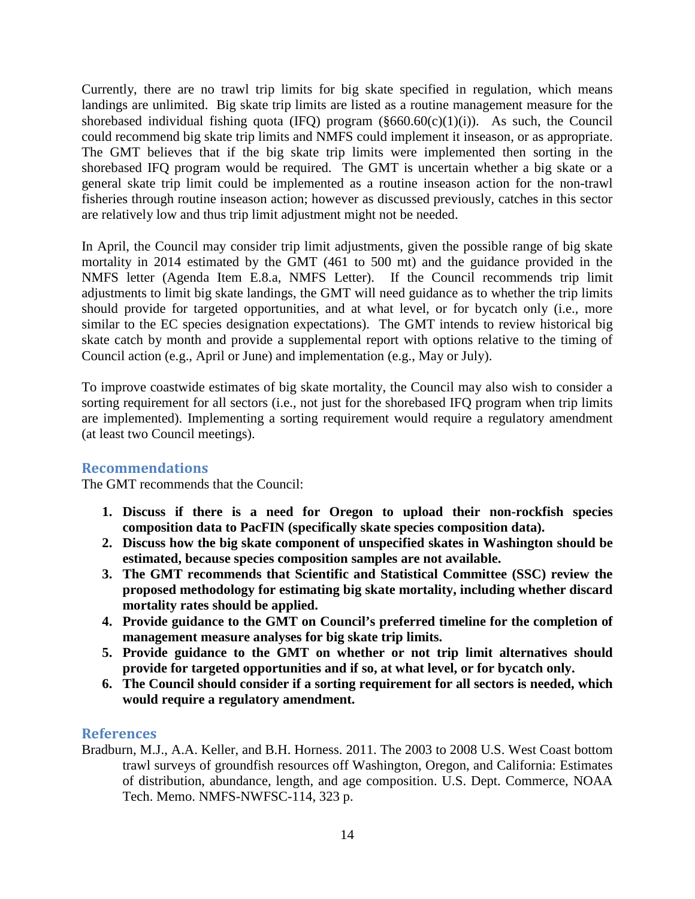Currently, there are no trawl trip limits for big skate specified in regulation, which means landings are unlimited. Big skate trip limits are listed as a routine management measure for the shorebased individual fishing quota (IFQ) program  $(\S 660.60(c)(1)(i))$ . As such, the Council could recommend big skate trip limits and NMFS could implement it inseason, or as appropriate. The GMT believes that if the big skate trip limits were implemented then sorting in the shorebased IFQ program would be required. The GMT is uncertain whether a big skate or a general skate trip limit could be implemented as a routine inseason action for the non-trawl fisheries through routine inseason action; however as discussed previously, catches in this sector are relatively low and thus trip limit adjustment might not be needed.

In April, the Council may consider trip limit adjustments, given the possible range of big skate mortality in 2014 estimated by the GMT (461 to 500 mt) and the guidance provided in the NMFS letter (Agenda Item E.8.a, NMFS Letter). If the Council recommends trip limit adjustments to limit big skate landings, the GMT will need guidance as to whether the trip limits should provide for targeted opportunities, and at what level, or for bycatch only (i.e., more similar to the EC species designation expectations). The GMT intends to review historical big skate catch by month and provide a supplemental report with options relative to the timing of Council action (e.g., April or June) and implementation (e.g., May or July).

To improve coastwide estimates of big skate mortality, the Council may also wish to consider a sorting requirement for all sectors (i.e., not just for the shorebased IFQ program when trip limits are implemented). Implementing a sorting requirement would require a regulatory amendment (at least two Council meetings).

# **Recommendations**

The GMT recommends that the Council:

- **1. Discuss if there is a need for Oregon to upload their non-rockfish species composition data to PacFIN (specifically skate species composition data).**
- **2. Discuss how the big skate component of unspecified skates in Washington should be estimated, because species composition samples are not available.**
- **3. The GMT recommends that Scientific and Statistical Committee (SSC) review the proposed methodology for estimating big skate mortality, including whether discard mortality rates should be applied.**
- **4. Provide guidance to the GMT on Council's preferred timeline for the completion of management measure analyses for big skate trip limits.**
- **5. Provide guidance to the GMT on whether or not trip limit alternatives should provide for targeted opportunities and if so, at what level, or for bycatch only.**
- **6. The Council should consider if a sorting requirement for all sectors is needed, which would require a regulatory amendment.**

# **References**

Bradburn, M.J., A.A. Keller, and B.H. Horness. 2011. The 2003 to 2008 U.S. West Coast bottom trawl surveys of groundfish resources off Washington, Oregon, and California: Estimates of distribution, abundance, length, and age composition. U.S. Dept. Commerce, NOAA Tech. Memo. NMFS-NWFSC-114, 323 p.